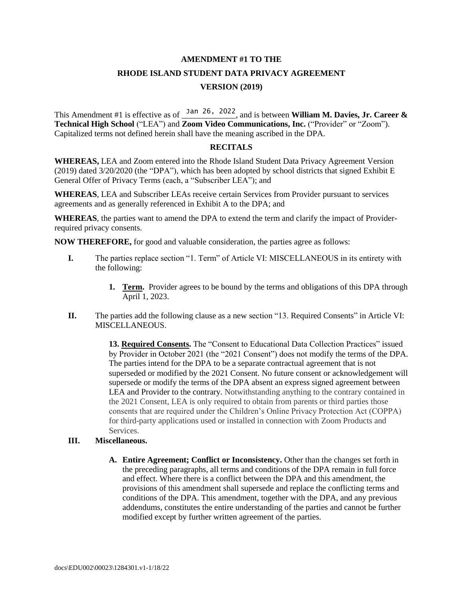## **AMENDMENT #1 TO THE**

# **RHODE ISLAND STUDENT DATA PRIVACY AGREEMENT VERSION (2019)**

This Amendment #1 is effective as of  $\frac{Jan 26}{2}$ , 2022, and is between **William M. Davies, Jr. Career & Technical High School** ("LEA") and **Zoom Video Communications, Inc.** ("Provider" or "Zoom"). Capitalized terms not defined herein shall have the meaning ascribed in the DPA.

#### **RECITALS**

**WHEREAS,** LEA and Zoom entered into the Rhode Island Student Data Privacy Agreement Version (2019) dated 3/20/2020 (the "DPA"), which has been adopted by school districts that signed Exhibit E General Offer of Privacy Terms (each, a "Subscriber LEA"); and

**WHEREAS**, LEA and Subscriber LEAs receive certain Services from Provider pursuant to services agreements and as generally referenced in Exhibit A to the DPA; and

**WHEREAS**, the parties want to amend the DPA to extend the term and clarify the impact of Providerrequired privacy consents.

**NOW THEREFORE,** for good and valuable consideration, the parties agree as follows:

- **I.** The parties replace section "1. Term" of Article VI: MISCELLANEOUS in its entirety with the following:
	- **1. Term.** Provider agrees to be bound by the terms and obligations of this DPA through April 1, 2023.
- **II.** The parties add the following clause as a new section "13. Required Consents" in Article VI: MISCELLANEOUS.

**13. Required Consents.** The "Consent to Educational Data Collection Practices" issued by Provider in October 2021 (the "2021 Consent") does not modify the terms of the DPA. The parties intend for the DPA to be a separate contractual agreement that is not superseded or modified by the 2021 Consent. No future consent or acknowledgement will supersede or modify the terms of the DPA absent an express signed agreement between LEA and Provider to the contrary. Notwithstanding anything to the contrary contained in the 2021 Consent, LEA is only required to obtain from parents or third parties those consents that are required under the Children's Online Privacy Protection Act (COPPA) for third-party applications used or installed in connection with Zoom Products and Services.

### **III. Miscellaneous.**

**A. Entire Agreement; Conflict or Inconsistency.** Other than the changes set forth in the preceding paragraphs, all terms and conditions of the DPA remain in full force and effect. Where there is a conflict between the DPA and this amendment, the provisions of this amendment shall supersede and replace the conflicting terms and conditions of the DPA. This amendment, together with the DPA, and any previous addendums, constitutes the entire understanding of the parties and cannot be further modified except by further written agreement of the parties.